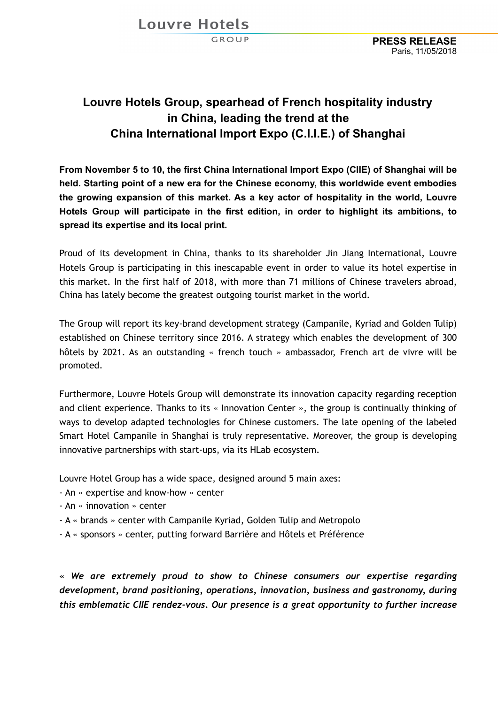Louvre Hotels

GROUP

## **Louvre Hotels Group, spearhead of French hospitality industry in China, leading the trend at the China International Import Expo (C.I.I.E.) of Shanghai**

**From November 5 to 10, the first China International Import Expo (CIIE) of Shanghai will be held. Starting point of a new era for the Chinese economy, this worldwide event embodies the growing expansion of this market. As a key actor of hospitality in the world, Louvre Hotels Group will participate in the first edition, in order to highlight its ambitions, to spread its expertise and its local print.**

Proud of its development in China, thanks to its shareholder Jin Jiang International, Louvre Hotels Group is participating in this inescapable event in order to value its hotel expertise in this market. In the first half of 2018, with more than 71 millions of Chinese travelers abroad, China has lately become the greatest outgoing tourist market in the world.

The Group will report its key-brand development strategy (Campanile, Kyriad and Golden Tulip) established on Chinese territory since 2016. A strategy which enables the development of 300 hôtels by 2021. As an outstanding « french touch » ambassador, French art de vivre will be promoted.

Furthermore, Louvre Hotels Group will demonstrate its innovation capacity regarding reception and client experience. Thanks to its « Innovation Center », the group is continually thinking of ways to develop adapted technologies for Chinese customers. The late opening of the labeled Smart Hotel Campanile in Shanghai is truly representative. Moreover, the group is developing innovative partnerships with start-ups, via its HLab ecosystem.

Louvre Hotel Group has a wide space, designed around 5 main axes:

- An « expertise and know-how » center
- An « innovation » center
- A « brands » center with Campanile Kyriad, Golden Tulip and Metropolo
- A « sponsors » center, putting forward Barrière and Hôtels et Préférence

*« We are extremely proud to show to Chinese consumers our expertise regarding development, brand positioning, operations, innovation, business and gastronomy, during this emblematic CIIE rendez-vous. Our presence is a great opportunity to further increase*